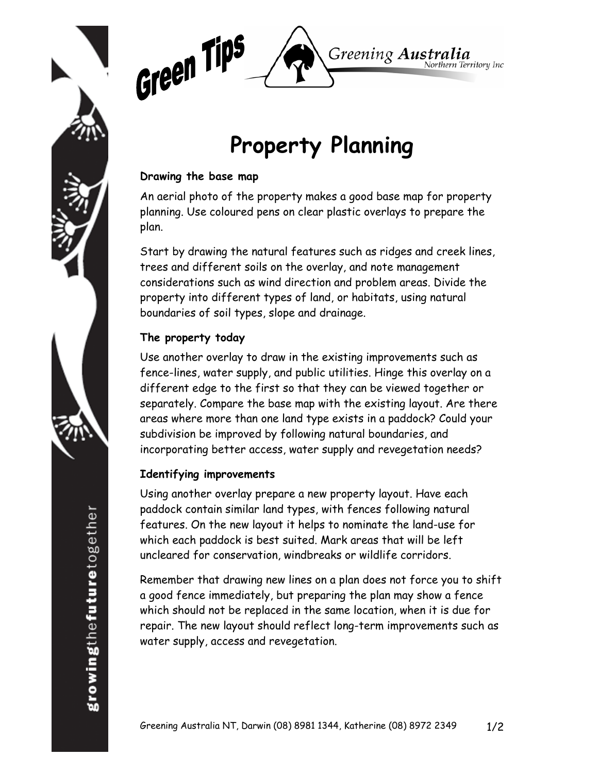



# **Property Planning**

#### **Drawing the base map**

An aerial photo of the property makes a good base map for property planning. Use coloured pens on clear plastic overlays to prepare the plan.

Start by drawing the natural features such as ridges and creek lines, trees and different soils on the overlay, and note management considerations such as wind direction and problem areas. Divide the property into different types of land, or habitats, using natural boundaries of soil types, slope and drainage.

## **The property today**

Use another overlay to draw in the existing improvements such as fence-lines, water supply, and public utilities. Hinge this overlay on a different edge to the first so that they can be viewed together or separately. Compare the base map with the existing layout. Are there areas where more than one land type exists in a paddock? Could your subdivision be improved by following natural boundaries, and incorporating better access, water supply and revegetation needs?

## **Identifying improvements**

Using another overlay prepare a new property layout. Have each paddock contain similar land types, with fences following natural features. On the new layout it helps to nominate the land-use for which each paddock is best suited. Mark areas that will be left uncleared for conservation, windbreaks or wildlife corridors.

Remember that drawing new lines on a plan does not force you to shift a good fence immediately, but preparing the plan may show a fence which should not be replaced in the same location, when it is due for repair. The new layout should reflect long-term improvements such as water supply, access and revegetation.